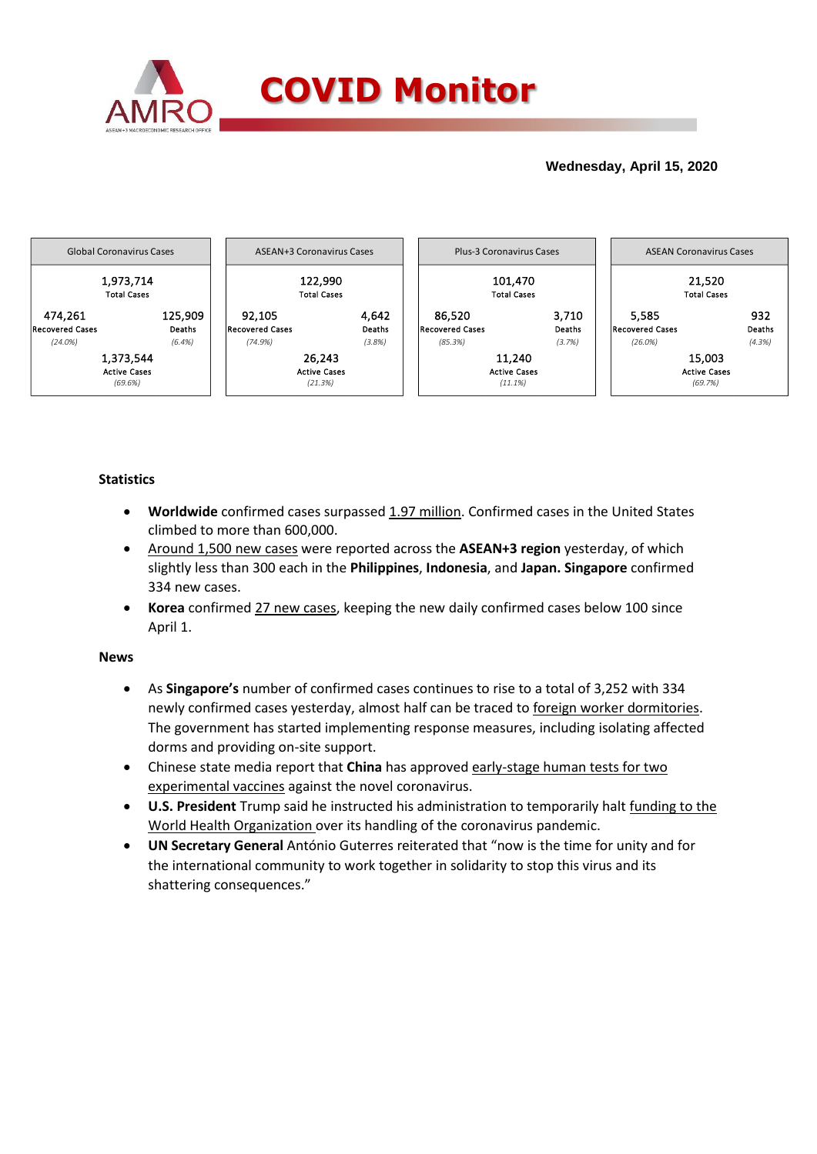

## **Wednesday, April 15, 2020**



## **Statistics**

- **Worldwide** confirmed cases surpassed 1.97 million. Confirmed cases in the United States climbed to more than 600,000.
- Around 1,500 new cases were reported across the **ASEAN+3 region** yesterday, of which slightly less than 300 each in the **Philippines**, **Indonesia**, and **Japan. Singapore** confirmed 334 new cases.
- **Korea** confirmed 27 new cases, keeping the new daily confirmed cases below 100 since April 1.

## **News**

- As **Singapore's** number of confirmed cases continues to rise to a total of 3,252 with 334 newly confirmed cases yesterday, almost half can be traced to foreign worker dormitories. The government has started implementing response measures, including isolating affected dorms and providing on-site support.
- Chinese state media report that **China** has approved early-stage human tests for two experimental vaccines against the novel coronavirus.
- **U.S. President** Trump said he instructed his administration to temporarily halt funding to the World Health Organization over its handling of the coronavirus pandemic.
- **UN Secretary General** António Guterres reiterated that "now is the time for unity and for the international community to work together in solidarity to stop this virus and its shattering consequences."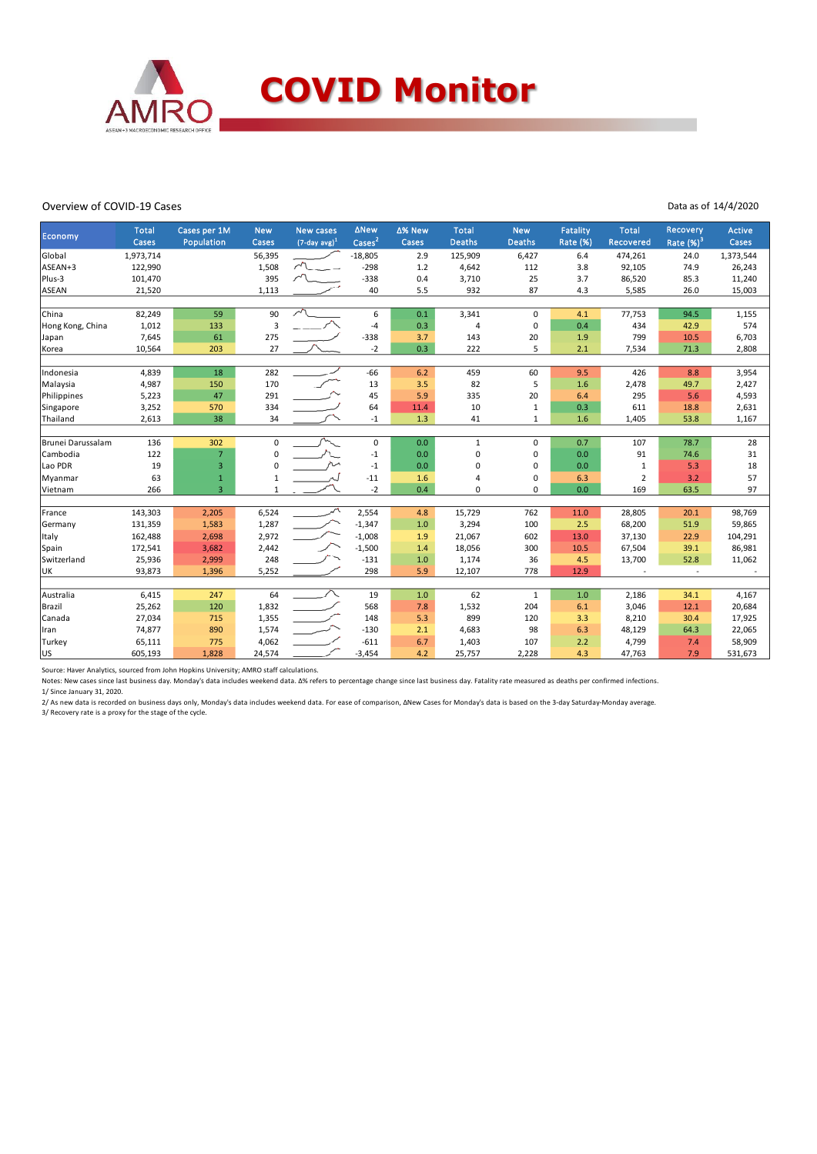

### Overview of COVID-19 Cases

#### Data as of 14/4/2020

| Economy           | <b>Total</b> | Cases per 1M   | <b>New</b>   | <b>New cases</b>            | <b>ANew</b>                | ∆% New | <b>Total</b>   | <b>New</b>    | Fatality        | <b>Total</b>   | Recovery      | <b>Active</b> |
|-------------------|--------------|----------------|--------------|-----------------------------|----------------------------|--------|----------------|---------------|-----------------|----------------|---------------|---------------|
|                   | Cases        | Population     | Cases        | $(7$ -day avg) <sup>1</sup> | $\text{Case}$ <sup>2</sup> | Cases  | <b>Deaths</b>  | <b>Deaths</b> | <b>Rate (%)</b> | Recovered      | Rate $(\%)^3$ | Cases         |
| Global            | 1,973,714    |                | 56,395       |                             | $-18,805$                  | 2.9    | 125,909        | 6,427         | 6.4             | 474,261        | 24.0          | 1,373,544     |
| ASEAN+3           | 122,990      |                | 1,508        | $\sim$                      | $-298$                     | 1.2    | 4,642          | 112           | 3.8             | 92,105         | 74.9          | 26,243        |
| Plus-3            | 101,470      |                | 395          |                             | $-338$                     | 0.4    | 3,710          | 25            | 3.7             | 86,520         | 85.3          | 11,240        |
| ASEAN             | 21,520       |                | 1,113        |                             | 40                         | 5.5    | 932            | 87            | 4.3             | 5,585          | 26.0          | 15,003        |
|                   |              |                |              |                             |                            |        |                |               |                 |                |               |               |
| China             | 82,249       | 59             | 90           | $\sqrt{2}$                  | 6                          | 0.1    | 3,341          | $\Omega$      | 4.1             | 77,753         | 94.5          | 1,155         |
| Hong Kong, China  | 1,012        | 133            | 3            |                             | $-4$                       | 0.3    | $\overline{4}$ | $\mathbf 0$   | 0.4             | 434            | 42.9          | 574           |
| Japan             | 7,645        | 61             | 275          |                             | $-338$                     | 3.7    | 143            | 20            | 1.9             | 799            | 10.5          | 6,703         |
| Korea             | 10,564       | 203            | 27           |                             | $-2$                       | 0.3    | 222            | 5             | 2.1             | 7,534          | 71.3          | 2,808         |
|                   |              |                |              |                             |                            |        |                |               |                 |                |               |               |
| Indonesia         | 4,839        | 18             | 282          |                             | $-66$                      | 6.2    | 459            | 60            | 9.5             | 426            | 8.8           | 3,954         |
| Malaysia          | 4,987        | 150            | 170          |                             | 13                         | 3.5    | 82             | 5             | 1.6             | 2,478          | 49.7          | 2,427         |
| Philippines       | 5,223        | 47             | 291          |                             | 45                         | 5.9    | 335            | 20            | 6.4             | 295            | 5.6           | 4,593         |
| Singapore         | 3,252        | 570            | 334          |                             | 64                         | 11.4   | 10             | 1             | 0.3             | 611            | 18.8          | 2,631         |
| Thailand          | 2,613        | 38             | 34           |                             | $-1$                       | 1.3    | 41             | 1             | 1.6             | 1,405          | 53.8          | 1,167         |
|                   |              |                |              |                             |                            |        |                |               |                 |                |               |               |
| Brunei Darussalam | 136          | 302            | $\Omega$     |                             | $\mathbf 0$                | 0.0    | $\mathbf{1}$   | $\Omega$      | 0.7             | 107            | 78.7          | 28            |
| Cambodia          | 122          | $\overline{7}$ | 0            |                             | $-1$                       | 0.0    | $\Omega$       | 0             | 0.0             | 91             | 74.6          | 31            |
| Lao PDR           | 19           | 3              | $\Omega$     | مراقم                       | $-1$                       | 0.0    | $\Omega$       | 0             | 0.0             | 1              | 5.3           | 18            |
| Myanmar           | 63           | $\mathbf{1}$   | 1            |                             | $-11$                      | 1.6    | 4              | 0             | 6.3             | $\overline{2}$ | 3.2           | 57            |
| Vietnam           | 266          | $\overline{3}$ | $\mathbf{1}$ |                             | $-2$                       | 0.4    | 0              | $\Omega$      | 0.0             | 169            | 63.5          | 97            |
|                   |              |                |              |                             |                            |        |                |               |                 |                |               |               |
| France            | 143,303      | 2,205          | 6,524        |                             | 2,554                      | 4.8    | 15,729         | 762           | 11.0            | 28,805         | 20.1          | 98,769        |
| Germany           | 131,359      | 1,583          | 1,287        |                             | $-1,347$                   | 1.0    | 3,294          | 100           | 2.5             | 68,200         | 51.9          | 59,865        |
| Italy             | 162,488      | 2,698          | 2,972        |                             | $-1,008$                   | 1.9    | 21,067         | 602           | 13.0            | 37,130         | 22.9          | 104,291       |
| Spain             | 172,541      | 3,682          | 2,442        |                             | $-1,500$                   | 1.4    | 18,056         | 300           | 10.5            | 67,504         | 39.1          | 86,981        |
| Switzerland       | 25,936       | 2,999          | 248          |                             | $-131$                     | 1.0    | 1,174          | 36            | 4.5             | 13,700         | 52.8          | 11,062        |
| UK                | 93,873       | 1,396          | 5,252        |                             | 298                        | 5.9    | 12,107         | 778           | 12.9            |                | $\sim$        |               |
|                   |              |                |              |                             |                            |        |                |               |                 |                |               |               |
| Australia         | 6,415        | 247            | 64           |                             | 19                         | 1.0    | 62             | $\mathbf{1}$  | 1.0             | 2,186          | 34.1          | 4,167         |
| Brazil            | 25,262       | 120            | 1,832        |                             | 568                        | 7.8    | 1,532          | 204           | 6.1             | 3,046          | 12.1          | 20,684        |
| Canada            | 27,034       | 715            | 1,355        |                             | 148                        | 5.3    | 899            | 120           | 3.3             | 8,210          | 30.4          | 17,925        |
| Iran              | 74,877       | 890            | 1,574        |                             | $-130$                     | 2.1    | 4,683          | 98            | 6.3             | 48,129         | 64.3          | 22,065        |
| Turkey            | 65,111       | 775            | 4,062        |                             | $-611$                     | 6.7    | 1,403          | 107           | 2.2             | 4,799          | 7.4           | 58,909        |
| lus               | 605,193      | 1,828          | 24,574       |                             | $-3,454$                   | 4.2    | 25,757         | 2,228         | 4.3             | 47,763         | 7.9           | 531,673       |

Source: Haver Analytics, sourced from John Hopkins University; AMRO staff calculations.

Notes: New cases since last business day. Monday's data includes weekend data. Δ% refers to percentage change since last business day. Fatality rate measured as deaths per confirmed infections.

1/ Since January 31, 2020.

2/ As new data is recorded on business days only, Monday's data includes weekend data. For ease of comparison, ∆New Cases for Monday's data is based on the 3-day Saturday-Monday average.<br>3/ Recovery rate is a proxy for the